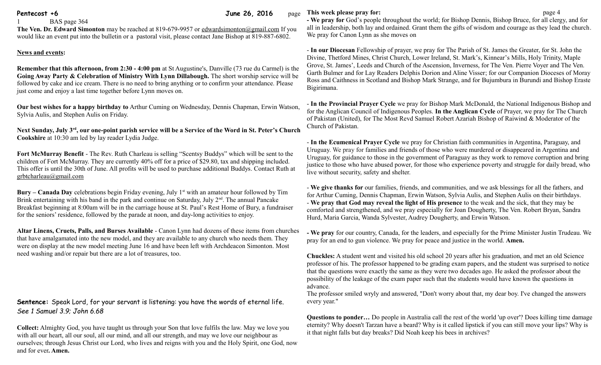## **Pentecost +6 June 26, 2016** page

BAS page 364

**The Ven. Dr. Edward Simonton** may be reached at 819-679-9957 or [edwardsimonton@gmail.com](mailto:edwardsimonton@gmail.com) If you would like an event put into the bulletin or a pastoral visit, please contact Jane Bishop at 819-887-6802.

## **News and events:**

**Remember that this afternoon, from 2:30 - 4:00 pm** at St Augustine's, Danville (73 rue du Carmel) is the **Going Away Party & Celebration of Ministry With Lynn Dillabough.** The short worship service will be followed by cake and ice cream. There is no need to bring anything or to confirm your attendance. Please just come and enjoy a last time together before Lynn moves on.

**Our best wishes for a happy birthday to** Arthur Cuming on Wednesday, Dennis Chapman, Erwin Watson, Sylvia Aulis, and Stephen Aulis on Friday.

**Next Sunday, July 3rd , our one-point parish service will be a Service of the Word in St. Peter's Church Cookshire** at 10:30 am led by lay reader Lydia Judge.

**Fort McMurray Benefit** - The Rev. Ruth Charleau is selling "Scentsy Buddys" which will be sent to the children of Fort McMurray. They are currently 40% off for a price of \$29.80, tax and shipping included. This offer is until the 30th of June. All profits will be used to purchase additional Buddys. Contact Ruth at [grbtcharleau@gmail.com](mailto:grbtcharleau@gmail.com)

**Bury – Canada Day** celebrations begin Friday evening, July 1<sup>st</sup> with an amateur hour followed by Tim Brink entertaining with his band in the park and continue on Saturday, July 2<sup>nd</sup>. The annual Pancake Breakfast beginning at 8:00am will be in the carriage house at St. Paul's Rest Home of Bury, a fundraiser for the seniors' residence, followed by the parade at noon, and day-long activities to enjoy.

**Altar Linens, Cruets, Palls, and Burses Available** - Canon Lynn had dozens of these items from churches that have amalgamated into the new model, and they are available to any church who needs them. They were on display at the new model meeting June 16 and have been left with Archdeacon Simonton. Most need washing and/or repair but there are a lot of treasures, too.

**Sentence:** Speak Lord, for your servant is listening: you have the words of eternal life. *See 1 Samuel 3.9; John 6.68*

**Collect:** Almighty God, you have taught us through your Son that love fulfils the law. May we love you with all our heart, all our soul, all our mind, and all our strength, and may we love our neighbour as ourselves; through Jesus Christ our Lord, who lives and reigns with you and the Holy Spirit, one God, now and for ever**. Amen.**

## **This week please pray for: page 4**

**- We pray for** God's people throughout the world; for Bishop Dennis, Bishop Bruce, for all clergy, and for all in leadership, both lay and ordained. Grant them the gifts of wisdom and courage as they lead the church. We pray for Canon Lynn as she moves on

- **In our Diocesan** Fellowship of prayer, we pray for The Parish of St. James the Greater, for St. John the Divine, Thetford Mines, Christ Church, Lower Ireland, St. Mark's, Kinnear's Mills, Holy Trinity, Maple Grove, St. James', Leeds and Church of the Ascension, Inverness, for The Ven. Pierre Voyer and The Ven. Garth Bulmer and for Lay Readers Delphis Dorion and Aline Visser; for our Companion Dioceses of Moray Ross and Caithness in Scotland and Bishop Mark Strange, and for Bujumbura in Burundi and Bishop Eraste Bigirimana.

- **In the Provincial Prayer Cycle** we pray for Bishop Mark McDonald, the National Indigenous Bishop and for the Anglican Council of Indigenous Peoples. **In the Anglican Cycle** of Prayer, we pray for The Church of Pakistan (United), for The Most Revd Samuel Robert Azariah Bishop of Raiwind & Moderator of the Church of Pakistan.

- **In the Ecumenical Prayer Cycle** we pray for Christian faith communities in Argentina, Paraguay, and Uruguay. We pray for families and friends of those who were murdered or disappeared in Argentina and Uruguay, for guidance to those in the government of Paraguay as they work to remove corruption and bring justice to those who have abused power, for those who experience poverty and struggle for daily bread, who live without security, safety and shelter.

- **We give thanks for** our families, friends, and communities, and we ask blessings for all the fathers, and for Arthur Cuming, Dennis Chapman, Erwin Watson, Sylvia Aulis, and Stephen Aulis on their birthdays. - **We pray that God may reveal the light of His presence** to the weak and the sick, that they may be comforted and strengthened, and we pray especially for Joan Dougherty, The Ven. Robert Bryan, Sandra Hurd, Maria Garcia, Wanda Sylvester, Audrey Dougherty, and Erwin Watson.

**- We pray** for our country, Canada, for the leaders, and especially for the Prime Minister Justin Trudeau. We pray for an end to gun violence. We pray for peace and justice in the world. **Amen.**

**Chuckles:** A student went and visited his old school 20 years after his graduation, and met an old Science professor of his. The professor happened to be grading exam papers, and the student was surprised to notice that the questions were exactly the same as they were two decades ago. He asked the professor about the possibility of the leakage of the exam paper such that the students would have known the questions in advance.

The professor smiled wryly and answered, "Don't worry about that, my dear boy. I've changed the answers every year."

**Questions to ponder…** Do people in Australia call the rest of the world 'up over'? Does killing time damage eternity? Why doesn't Tarzan have a beard? Why is it called lipstick if you can still move your lips? Why is it that night falls but day breaks? Did Noah keep his bees in archives?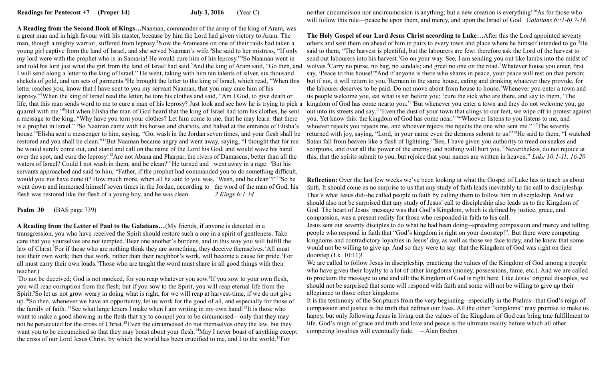**Readings for Pentecost +7 (Proper 14) July 3, 2016** (Year C)

**A Reading from the Second Book of Kings…**Naaman, commander of the army of the king of Aram, was a great man and in high favour with his master, because by him the Lord had given victory to Aram. The man, though a mighty warrior, suffered from leprosy.<sup>2</sup>Now the Arameans on one of their raids had taken a young girl captive from the land of Israel, and she served Naaman's wife.<sup>3</sup>She said to her mistress, "If only my lord were with the prophet who is in Samaria! He would cure him of his leprosy."<sup>4</sup>So Naaman went in and told his lord just what the girl from the land of Israel had said.<sup>5</sup>And the king of Aram said, "Go then, and I will send along a letter to the king of Israel." He went, taking with him ten talents of silver, six thousand shekels of gold, and ten sets of garments. He brought the letter to the king of Israel, which read, "When this letter reaches you, know that I have sent to you my servant Naaman, that you may cure him of his leprosy."<sup>7</sup>When the king of Israel read the letter, he tore his clothes and said, "Am I God, to give death or life, that this man sends word to me to cure a man of his leprosy? Just look and see how he is trying to pick a kingdom of God has come nearto you.'<sup>10</sup>But whenever you enter a town and they do not welcome you, go quarrel with me."<sup>8</sup>But when Elisha the man of God heard that the king of Israel had torn his clothes, he sent a message to the king, "Why have you torn your clothes? Let him come to me, that he may learn that there is a prophet in Israel." <sup>9</sup>So Naaman came with his horses and chariots, and halted at the entrance of Elisha's house.<sup>10</sup>Elisha sent a messenger to him, saying, "Go, wash in the Jordan seven times, and your flesh shall be restored and you shall be clean."<sup>11</sup>But Naaman became angry and went away, saying, "I thought that for me he would surely come out, and stand and call on the name of the Lord his God, and would wave his hand over the spot, and cure the leprosy!<sup>12</sup>Are not Abana and Pharpar, the rivers of Damascus, better than all the waters of Israel? Could I not wash in them, and be clean?" He turned and went away in a rage.<sup>13</sup>But his servants approached and said to him, "Father, if the prophet had commanded you to do something difficult, would you not have done it? How much more, when all he said to you was, 'Wash, and be clean'?"<sup>14</sup>So he went down and immersed himself seven times in the Jordan, according to the word of the man of God; his flesh was restored like the flesh of a young boy, and he was clean. *2 Kings 6:1-14* 

**Psalm 30 (**BAS page 739)

**A Reading from the Letter of Paul to the Galatians…**(My friends, if anyone is detected in a transgression, you who have received the Spirit should restore such a one in a spirit of gentleness. Take care that you yourselves are not tempted.<sup>2</sup>Bear one another's burdens, and in this way you will fulfill the law of Christ.<sup>3</sup>For if those who are nothing think they are something, they deceive themselves.<sup>4</sup>All must test their own work; then that work, rather than their neighbor's work, will become a cause for pride.<sup>5</sup>For all must carry their own loads. Those who are taught the word must share in all good things with their teacher.)

 $7$ Do not be deceived; God is not mocked, for you reap whatever you sow. <sup>8</sup>If you sow to your own flesh, you will reap corruption from the flesh; but if you sow to the Spirit, you will reap eternal life from the Spirit.<sup>9</sup>So let us not grow weary in doing what is right, for we will reap at harvest-time, if we do not give up.<sup>10</sup>So then, whenever we have an opportunity, let us work for the good of all, and especially for those of the family of faith. <sup>11</sup>See what large letters I make when I am writing in my own hand!<sup>12</sup>It is those who want to make a good showing in the flesh that try to compel you to be circumcised—only that they may not be persecuted for the cross of Christ.<sup>13</sup>Even the circumcised do not themselves obey the law, but they want you to be circumcised so that they may boast about your flesh.<sup>14</sup>May I never boast of anything except the cross of our Lord Jesus Christ, by which the world has been crucified to me, and I to the world.<sup>15</sup>For

neither circumcision nor uncircumcision is anything; but a new creation is everything!<sup>16</sup>As for those who will follow this rule—peace be upon them, and mercy, and upon the Israel of God. *Galatians 6:(1-6) 7-16* 

**The Holy Gospel of our Lord Jesus Christ according to Luke…**After this the Lord appointed seventy others and sent them on ahead of him in pairs to every town and place where he himself intended to go.<sup>2</sup>He said to them, "The harvest is plentiful, but the labourers are few; therefore ask the Lord of the harvest to send out labourers into his harvest.<sup>3</sup>Go on your way. See, I am sending you out like lambs into the midst of wolves.<sup>4</sup>Carry no purse, no bag, no sandals; and greet no one on the road.<sup>5</sup>Whatever house you enter, first say, 'Peace to this house!'<sup>6</sup>And if anyone is there who shares in peace, your peace will rest on that person; but if not, it will return to you.<sup>7</sup>Remain in the same house, eating and drinking whatever they provide, for the labourer deserves to be paid. Do not move about from house to house.<sup>8</sup>Whenever you enter a town and its people welcome you, eat what is set before you; <sup>9</sup>cure the sick who are there, and say to them, 'The out into its streets and say,<sup>11</sup>'Even the dust of your town that clings to our feet, we wipe off in protest against you. Yet know this: the kingdom of God has come near.'<sup>16</sup>"Whoever listens to you listens to me, and whoever rejects you rejects me, and whoever rejects me rejects the one who sent me." <sup>17</sup>The seventy returned with joy, saying, "Lord, in your name even the demons submit to us!"<sup>18</sup>He said to them, "I watched Satan fall from heaven like a flash of lightning.<sup>19</sup>See, I have given you authority to tread on snakes and scorpions, and over all the power of the enemy; and nothing will hurt you.<sup>20</sup>Nevertheless, do not rejoice at this, that the spirits submit to you, but rejoice that your names are written in heaven." *Luke 10:1-11, 16-20*

**Reflection:** Over the last few weeks we've been looking at what the Gospel of Luke has to teach us about faith. It should come as no surprise to us that any study of faith leads inevitably to the call to discipleship. That's what Jesus did--he called people to faith by calling them to follow him in discipleship. And we should also not be surprised that any study of Jesus' call to discipleship also leads us to the Kingdom of God. The heart of Jesus' message was that God's Kingdom, which is defined by justice, grace, and compassion, was a present reality for those who responded in faith to his call.

Jesus sent out seventy disciples to do what he had been doing--spreading compassion and mercy and telling people who respond in faith that "God's kingdom is right on your doorstep!". But there were competing kingdoms and contradictory loyalties in Jesus' day, as well as those we face today, and he knew that some would not be willing to give up. And so they were to say: that the Kingdom of God was right on their doorstep (Lk. 10:11)!

We are called to follow Jesus in discipleship, practicing the values of the Kingdom of God among a people who have given their loyalty to a lot of other kingdoms (money, possessions, fame, etc.). And we are called to proclaim the message to one and all: the Kingdom of God is right here. Like Jesus' original disciples, we should not be surprised that some will respond with faith and some will not be willing to give up their allegiance to those other kingdoms.

It is the testimony of the Scriptures from the very beginning--especially in the Psalms--that God's reign of compassion and justice is the truth that defines our lives. All the other "kingdoms" may promise to make us happy, but only following Jesus in living out the values of the Kingdom of God can bring true fulfillment to life. God's reign of grace and truth and love and peace is the ultimate reality before which all other competing loyalties will eventually fade. – Alan Brehm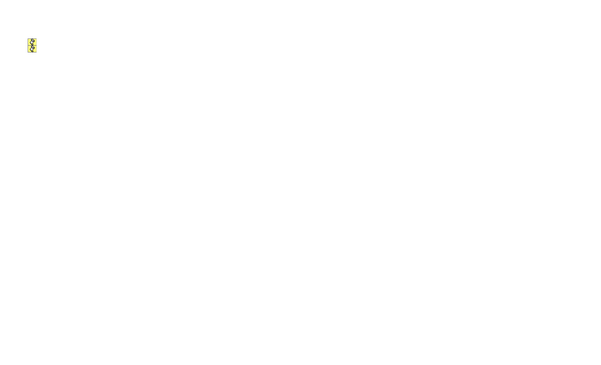